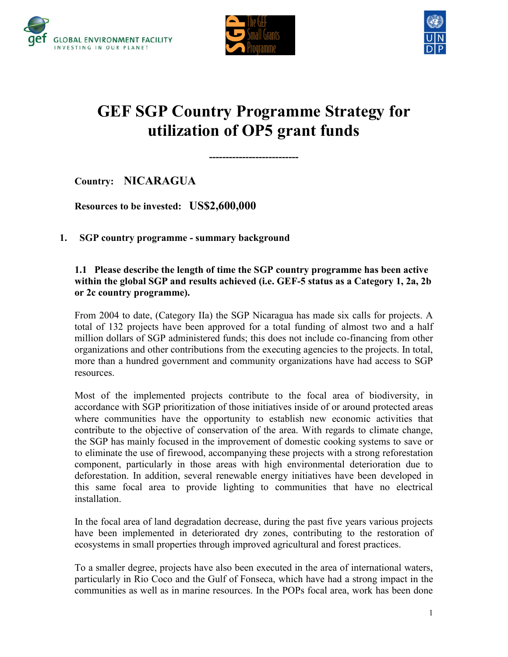





# **GEF SGP Country Programme Strategy for utilization of OP5 grant funds**

**---------------------------**

**Country: NICARAGUA**

**Resources to be invested: US\$2,600,000** 

**1. SGP country programme - summary background** 

### **1.1 Please describe the length of time the SGP country programme has been active within the global SGP and results achieved (i.e. GEF-5 status as a Category 1, 2a, 2b or 2c country programme).**

From 2004 to date, (Category IIa) the SGP Nicaragua has made six calls for projects. A total of 132 projects have been approved for a total funding of almost two and a half million dollars of SGP administered funds; this does not include co-financing from other organizations and other contributions from the executing agencies to the projects. In total, more than a hundred government and community organizations have had access to SGP resources.

Most of the implemented projects contribute to the focal area of biodiversity, in accordance with SGP prioritization of those initiatives inside of or around protected areas where communities have the opportunity to establish new economic activities that contribute to the objective of conservation of the area. With regards to climate change, the SGP has mainly focused in the improvement of domestic cooking systems to save or to eliminate the use of firewood, accompanying these projects with a strong reforestation component, particularly in those areas with high environmental deterioration due to deforestation. In addition, several renewable energy initiatives have been developed in this same focal area to provide lighting to communities that have no electrical installation.

In the focal area of land degradation decrease, during the past five years various projects have been implemented in deteriorated dry zones, contributing to the restoration of ecosystems in small properties through improved agricultural and forest practices.

To a smaller degree, projects have also been executed in the area of international waters, particularly in Rio Coco and the Gulf of Fonseca, which have had a strong impact in the communities as well as in marine resources. In the POPs focal area, work has been done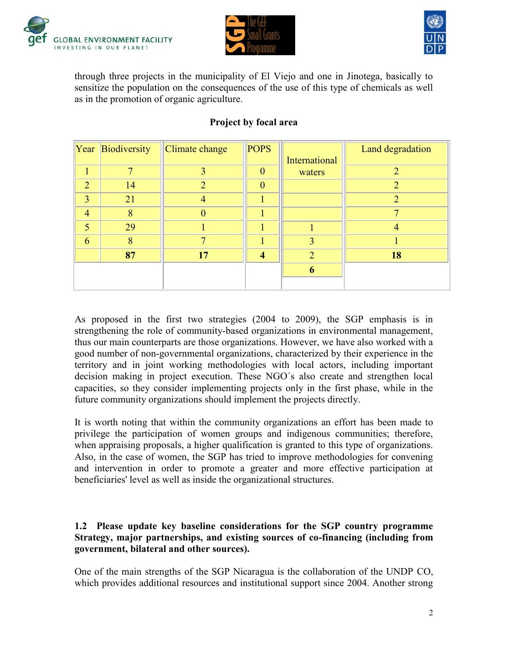





through three projects in the municipality of El Viejo and one in Jinotega, basically to sensitize the population on the consequences of the use of this type of chemicals as well as in the promotion of organic agriculture.

|                | Year Biodiversity | Climate change | <b>POPS</b> |                         | Land degradation |
|----------------|-------------------|----------------|-------------|-------------------------|------------------|
|                |                   |                |             | International           |                  |
|                |                   |                | $\Omega$    | waters                  |                  |
| $\mathcal{D}$  | 14                | ↑              | $\Omega$    |                         | າ                |
| 3              | 21                |                |             |                         |                  |
| $\overline{4}$ | 8                 |                |             |                         |                  |
| 5              | 29                |                |             |                         |                  |
| 6              | 8                 |                |             | $\overline{\mathbf{3}}$ |                  |
|                | 87                | 17             |             |                         | 18               |
|                |                   |                |             | 6                       |                  |
|                |                   |                |             |                         |                  |

# **Project by focal area**

As proposed in the first two strategies (2004 to 2009), the SGP emphasis is in strengthening the role of community-based organizations in environmental management, thus our main counterparts are those organizations. However, we have also worked with a good number of non-governmental organizations, characterized by their experience in the territory and in joint working methodologies with local actors, including important decision making in project execution. These NGO´s also create and strengthen local capacities, so they consider implementing projects only in the first phase, while in the future community organizations should implement the projects directly.

It is worth noting that within the community organizations an effort has been made to privilege the participation of women groups and indigenous communities; therefore, when appraising proposals, a higher qualification is granted to this type of organizations. Also, in the case of women, the SGP has tried to improve methodologies for convening and intervention in order to promote a greater and more effective participation at beneficiaries' level as well as inside the organizational structures.

### **1.2 Please update key baseline considerations for the SGP country programme Strategy, major partnerships, and existing sources of co-financing (including from government, bilateral and other sources).**

One of the main strengths of the SGP Nicaragua is the collaboration of the UNDP CO, which provides additional resources and institutional support since 2004. Another strong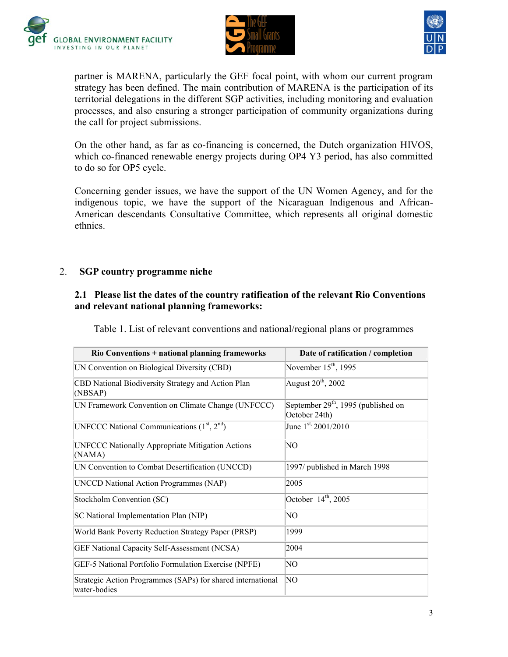





partner is MARENA, particularly the GEF focal point, with whom our current program strategy has been defined. The main contribution of MARENA is the participation of its territorial delegations in the different SGP activities, including monitoring and evaluation processes, and also ensuring a stronger participation of community organizations during the call for project submissions.

On the other hand, as far as co-financing is concerned, the Dutch organization HIVOS, which co-financed renewable energy projects during OP4 Y3 period, has also committed to do so for OP5 cycle.

Concerning gender issues, we have the support of the UN Women Agency, and for the indigenous topic, we have the support of the Nicaraguan Indigenous and African-American descendants Consultative Committee, which represents all original domestic ethnics.

### 2. **SGP country programme niche**

## **2.1 Please list the dates of the country ratification of the relevant Rio Conventions and relevant national planning frameworks:**

Table 1. List of relevant conventions and national/regional plans or programmes

| <b>Rio Conventions + national planning frameworks</b>                       | Date of ratification / completion                      |
|-----------------------------------------------------------------------------|--------------------------------------------------------|
| UN Convention on Biological Diversity (CBD)                                 | November $15th$ , 1995                                 |
| CBD National Biodiversity Strategy and Action Plan<br>(NBSAP)               | August 20 <sup>th</sup> , 2002                         |
| UN Framework Convention on Climate Change (UNFCCC)                          | September $29th$ , 1995 (published on<br>October 24th) |
| UNFCCC National Communications $(1st, 2nd)$                                 | June $1^{st}$ 2001/2010                                |
| <b>UNFCCC Nationally Appropriate Mitigation Actions</b><br>(NAMA)           | NO                                                     |
| UN Convention to Combat Desertification (UNCCD)                             | 1997/ published in March 1998                          |
| <b>UNCCD National Action Programmes (NAP)</b>                               | 2005                                                   |
| Stockholm Convention (SC)                                                   | October $14th$ , 2005                                  |
| SC National Implementation Plan (NIP)                                       | NO                                                     |
| World Bank Poverty Reduction Strategy Paper (PRSP)                          | 1999                                                   |
| GEF National Capacity Self-Assessment (NCSA)                                | 2004                                                   |
| GEF-5 National Portfolio Formulation Exercise (NPFE)                        | NO                                                     |
| Strategic Action Programmes (SAPs) for shared international<br>water-bodies | NΟ                                                     |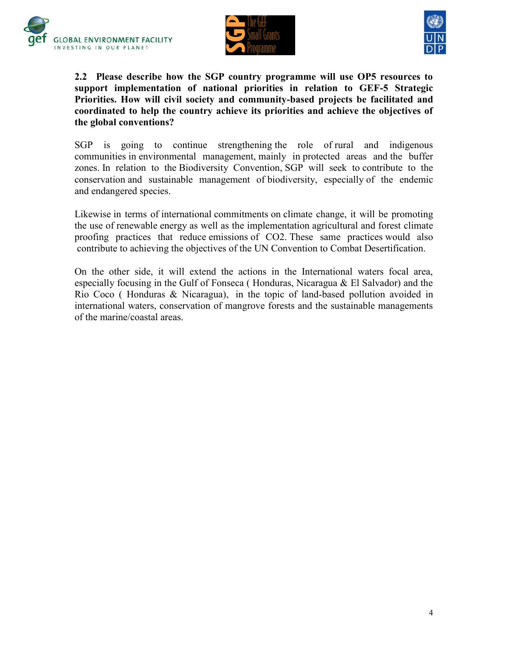





**2.2 Please describe how the SGP country programme will use OP5 resources to support implementation of national priorities in relation to GEF-5 Strategic Priorities. How will civil society and community-based projects be facilitated and coordinated to help the country achieve its priorities and achieve the objectives of the global conventions?**

SGP is going to continue strengthening the role of rural and indigenous communities in environmental management, mainly in protected areas and the buffer zones. In relation to the Biodiversity Convention, SGP will seek to contribute to the conservation and sustainable management of biodiversity, especially of the endemic and endangered species.

Likewise in terms of international commitments on climate change, it will be promoting the use of renewable energy as well as the implementation agricultural and forest climate proofing practices that reduce emissions of CO2. These same practices would also contribute to achieving the objectives of the UN Convention to Combat Desertification.

On the other side, it will extend the actions in the International waters focal area, especially focusing in the Gulf of Fonseca ( Honduras, Nicaragua & El Salvador) and the Rio Coco ( Honduras & Nicaragua), in the topic of land-based pollution avoided in international waters, conservation of mangrove forests and the sustainable managements of the marine/coastal areas.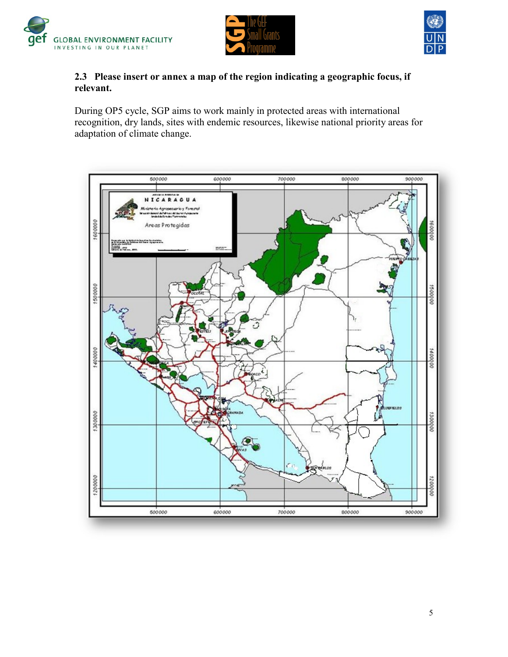





## **2.3 Please insert or annex a map of the region indicating a geographic focus, if relevant.**

During OP5 cycle, SGP aims to work mainly in protected areas with international recognition, dry lands, sites with endemic resources, likewise national priority areas for adaptation of climate change.

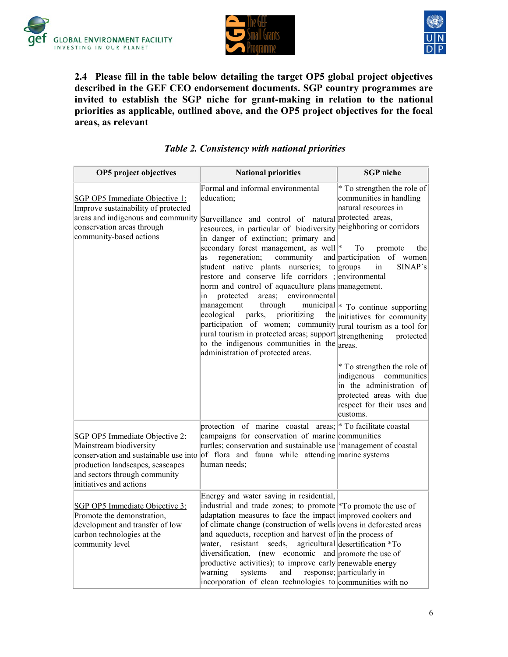





**2.4 Please fill in the table below detailing the target OP5 global project objectives described in the GEF CEO endorsement documents. SGP country programmes are invited to establish the SGP niche for grant-making in relation to the national priorities as applicable, outlined above, and the OP5 project objectives for the focal areas, as relevant**

## *Table 2. Consistency with national priorities*

| OP5 project objectives                                                                                                                                                                             | <b>National priorities</b>                                                                                                                                                                                                                                                                                                                                                                                                                                                                                                                                                                                                                                                                                                                                                                   |                                                                                                                                                                                                                                                                                                                                                                                                               |
|----------------------------------------------------------------------------------------------------------------------------------------------------------------------------------------------------|----------------------------------------------------------------------------------------------------------------------------------------------------------------------------------------------------------------------------------------------------------------------------------------------------------------------------------------------------------------------------------------------------------------------------------------------------------------------------------------------------------------------------------------------------------------------------------------------------------------------------------------------------------------------------------------------------------------------------------------------------------------------------------------------|---------------------------------------------------------------------------------------------------------------------------------------------------------------------------------------------------------------------------------------------------------------------------------------------------------------------------------------------------------------------------------------------------------------|
| SGP OP5 Immediate Objective 1:<br>Improve sustainability of protected<br>areas and indigenous and community<br>conservation areas through<br>community-based actions                               | Formal and informal environmental<br>education;<br>Surveillance and control of natural protected areas,<br>resources, in particular of biodiversity neighboring or corridors<br>in danger of extinction; primary and<br>secondary forest management, as well <sup>*</sup><br>regeneration;<br>community<br>as<br>student native plants nurseries; to groups<br>restore and conserve life corridors; environmental<br>norm and control of aquaculture plans management.<br>areas; environmental<br>protected<br>in<br>management<br>through<br>ecological<br>parks,<br>prioritizing<br>participation of women; community rural tourism as a tool for<br>rural tourism in protected areas; support strengthening<br>to the indigenous communities in the<br>administration of protected areas. | * To strengthen the role of<br>communities in handling<br>natural resources in<br>To<br>promote<br>the<br>and participation of women<br>in<br>SINAP's<br>municipal <sup>*</sup> To continue supporting<br>the initiatives for community<br>protected<br>areas.<br>* To strengthen the role of<br>indigenous communities<br>in the administration of<br>protected areas with due<br>respect for their uses and |
| SGP OP5 Immediate Objective 2:<br>Mainstream biodiversity<br>conservation and sustainable use into<br>production landscapes, seascapes<br>and sectors through community<br>initiatives and actions | protection of marine coastal areas; * To facilitate coastal<br>campaigns for conservation of marine communities<br>turtles; conservation and sustainable use management of coastal<br>of flora and fauna while attending marine systems<br>human needs;                                                                                                                                                                                                                                                                                                                                                                                                                                                                                                                                      | customs.                                                                                                                                                                                                                                                                                                                                                                                                      |
| SGP OP5 Immediate Objective 3:<br>Promote the demonstration,<br>development and transfer of low<br>carbon technologies at the<br>community level                                                   | Energy and water saving in residential,<br>industrial and trade zones; to promote *To promote the use of<br>adaptation measures to face the impact improved cookers and<br>of climate change (construction of wells ovens in deforested areas<br>and aqueducts, reception and harvest of in the process of<br>water, resistant seeds,<br>diversification, (new economic and promote the use of<br>productive activities); to improve early renewable energy<br>warning<br>systems<br>and<br>incorporation of clean technologies to communities with no                                                                                                                                                                                                                                       | agricultural desertification *To<br>response; particularly in                                                                                                                                                                                                                                                                                                                                                 |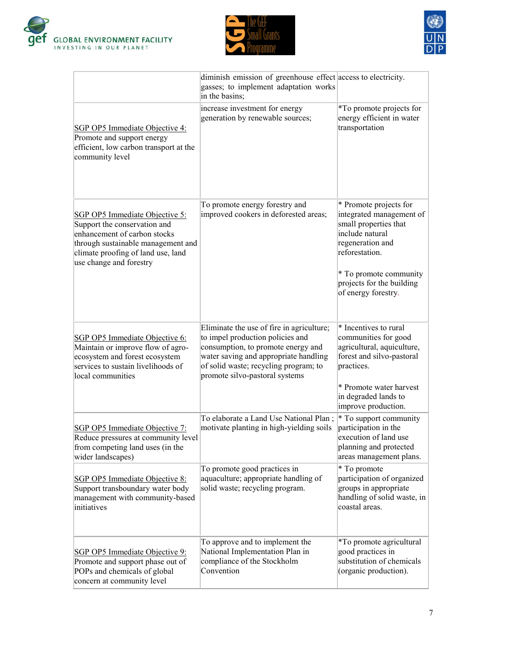





|                                                                                                                                                                                                              | diminish emission of greenhouse effect access to electricity.<br>gasses; to implement adaptation works<br>in the basins;                                                                                                                |                                                                                                                                                                                                                    |
|--------------------------------------------------------------------------------------------------------------------------------------------------------------------------------------------------------------|-----------------------------------------------------------------------------------------------------------------------------------------------------------------------------------------------------------------------------------------|--------------------------------------------------------------------------------------------------------------------------------------------------------------------------------------------------------------------|
| SGP OP5 Immediate Objective 4:<br>Promote and support energy<br>efficient, low carbon transport at the<br>community level                                                                                    | increase investment for energy<br>generation by renewable sources;                                                                                                                                                                      | *To promote projects for<br>energy efficient in water<br>transportation                                                                                                                                            |
| <b>SGP OP5 Immediate Objective 5:</b><br>Support the conservation and<br>enhancement of carbon stocks<br>through sustainable management and<br>climate proofing of land use, land<br>use change and forestry | To promote energy forestry and<br>improved cookers in deforested areas;                                                                                                                                                                 | * Promote projects for<br>integrated management of<br>small properties that<br>include natural<br>regeneration and<br>reforestation.<br>* To promote community<br>projects for the building<br>of energy forestry. |
| SGP OP5 Immediate Objective 6:<br>Maintain or improve flow of agro-<br>ecosystem and forest ecosystem<br>services to sustain livelihoods of<br>local communities                                             | Eliminate the use of fire in agriculture;<br>to impel production policies and<br>consumption, to promote energy and<br>water saving and appropriate handling<br>of solid waste; recycling program; to<br>promote silvo-pastoral systems | * Incentives to rural<br>communities for good<br>agricultural, aquiculture,<br>forest and silvo-pastoral<br>practices.<br>* Promote water harvest<br>in degraded lands to<br>improve production.                   |
| SGP OP5 Immediate Objective 7:<br>Reduce pressures at community level<br>from competing land uses (in the<br>wider landscapes)                                                                               | To elaborate a Land Use National Plan;<br>motivate planting in high-yielding soils                                                                                                                                                      | * To support community<br>participation in the<br>execution of land use<br>planning and protected<br>areas management plans.                                                                                       |
| <b>SGP OP5 Immediate Objective 8:</b><br>Support transboundary water body<br>management with community-based<br>initiatives                                                                                  | To promote good practices in<br>aquaculture; appropriate handling of<br>solid waste; recycling program.                                                                                                                                 | * To promote<br>participation of organized<br>groups in appropriate<br>handling of solid waste, in<br>coastal areas.                                                                                               |
| SGP OP5 Immediate Objective 9:<br>Promote and support phase out of<br>POPs and chemicals of global<br>concern at community level                                                                             | To approve and to implement the<br>National Implementation Plan in<br>compliance of the Stockholm<br>Convention                                                                                                                         | *To promote agricultural<br>good practices in<br>substitution of chemicals<br>(organic production).                                                                                                                |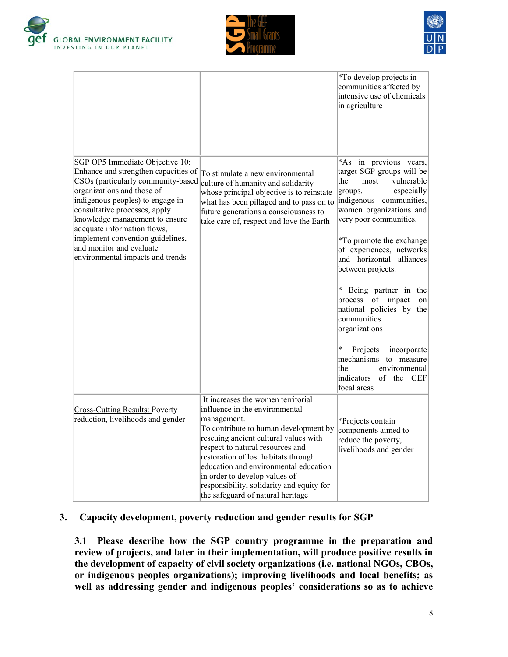





|                                                                                                                                                                                                                                                                                                                                                                                       |                                                                                                                                                                                                                                                                                                                                                                                                               | <i>*To develop projects in</i><br>communities affected by<br>intensive use of chemicals<br>in agriculture                                                                                                                                                                                                                                                                                                                               |
|---------------------------------------------------------------------------------------------------------------------------------------------------------------------------------------------------------------------------------------------------------------------------------------------------------------------------------------------------------------------------------------|---------------------------------------------------------------------------------------------------------------------------------------------------------------------------------------------------------------------------------------------------------------------------------------------------------------------------------------------------------------------------------------------------------------|-----------------------------------------------------------------------------------------------------------------------------------------------------------------------------------------------------------------------------------------------------------------------------------------------------------------------------------------------------------------------------------------------------------------------------------------|
| SGP OP5 Immediate Objective 10:<br>Enhance and strengthen capacities of<br>CSOs (particularly community-based<br>organizations and those of<br>indigenous peoples) to engage in<br>consultative processes, apply<br>knowledge management to ensure<br>adequate information flows,<br>implement convention guidelines,<br>and monitor and evaluate<br>environmental impacts and trends | To stimulate a new environmental<br>culture of humanity and solidarity<br>whose principal objective is to reinstate<br>what has been pillaged and to pass on to<br>future generations a consciousness to<br>take care of, respect and love the Earth                                                                                                                                                          | *As in previous years,<br>target SGP groups will be<br>the<br>vulnerable<br>most<br>especially<br>groups,<br>indigenous communities,<br>women organizations and<br>very poor communities.<br><i>*To promote the exchange</i><br>of experiences, networks<br>and horizontal alliances<br>between projects.<br>$\ast$<br>Being partner in<br>the<br>process of impact<br>on  <br>national policies by the<br>communities<br>organizations |
|                                                                                                                                                                                                                                                                                                                                                                                       |                                                                                                                                                                                                                                                                                                                                                                                                               | $\ast$<br>Projects<br>incorporate<br>mechanisms to measure<br>the<br>environmental<br>indicators<br>of the GEF<br>focal areas                                                                                                                                                                                                                                                                                                           |
| <b>Cross-Cutting Results: Poverty</b><br>reduction, livelihoods and gender                                                                                                                                                                                                                                                                                                            | It increases the women territorial<br>influence in the environmental<br>management.<br>To contribute to human development by<br>rescuing ancient cultural values with<br>respect to natural resources and<br>restoration of lost habitats through<br>education and environmental education<br>in order to develop values of<br>responsibility, solidarity and equity for<br>the safeguard of natural heritage | *Projects contain<br>components aimed to<br>reduce the poverty,<br>livelihoods and gender                                                                                                                                                                                                                                                                                                                                               |

#### **3. Capacity development, poverty reduction and gender results for SGP**

**3.1 Please describe how the SGP country programme in the preparation and review of projects, and later in their implementation, will produce positive results in the development of capacity of civil society organizations (i.e. national NGOs, CBOs, or indigenous peoples organizations); improving livelihoods and local benefits; as well as addressing gender and indigenous peoples' considerations so as to achieve**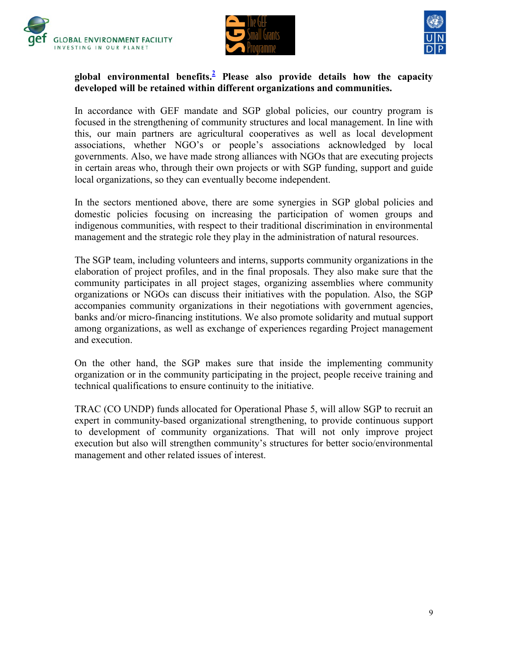





## **global environmental benefits[.](https://webmail.undp.org/owa/WebReadyViewBody.aspx?t=att&id=RgAAAAB7IEulsEidSanyFyW43JZABwBVYwxHYZVjQYMwFzs5jFe9AKyP1Y5MAADTzAgaDiHvR4o49kA6yGC1ACq2xEZrAAAJ&attid0=EABSsL1h%2f5foQ55PPPKZKLrx&attcnt=1&pn=1#footnote2)<sup>2</sup> Please also provide details how the capacity developed will be retained within different organizations and communities.**

In accordance with GEF mandate and SGP global policies, our country program is focused in the strengthening of community structures and local management. In line with this, our main partners are agricultural cooperatives as well as local development associations, whether NGO"s or people"s associations acknowledged by local governments. Also, we have made strong alliances with NGOs that are executing projects in certain areas who, through their own projects or with SGP funding, support and guide local organizations, so they can eventually become independent.

In the sectors mentioned above, there are some synergies in SGP global policies and domestic policies focusing on increasing the participation of women groups and indigenous communities, with respect to their traditional discrimination in environmental management and the strategic role they play in the administration of natural resources.

The SGP team, including volunteers and interns, supports community organizations in the elaboration of project profiles, and in the final proposals. They also make sure that the community participates in all project stages, organizing assemblies where community organizations or NGOs can discuss their initiatives with the population. Also, the SGP accompanies community organizations in their negotiations with government agencies, banks and/or micro-financing institutions. We also promote solidarity and mutual support among organizations, as well as exchange of experiences regarding Project management and execution.

On the other hand, the SGP makes sure that inside the implementing community organization or in the community participating in the project, people receive training and technical qualifications to ensure continuity to the initiative.

TRAC (CO UNDP) funds allocated for Operational Phase 5, will allow SGP to recruit an expert in community-based organizational strengthening, to provide continuous support to development of community organizations. That will not only improve project execution but also will strengthen community's structures for better socio/environmental management and other related issues of interest.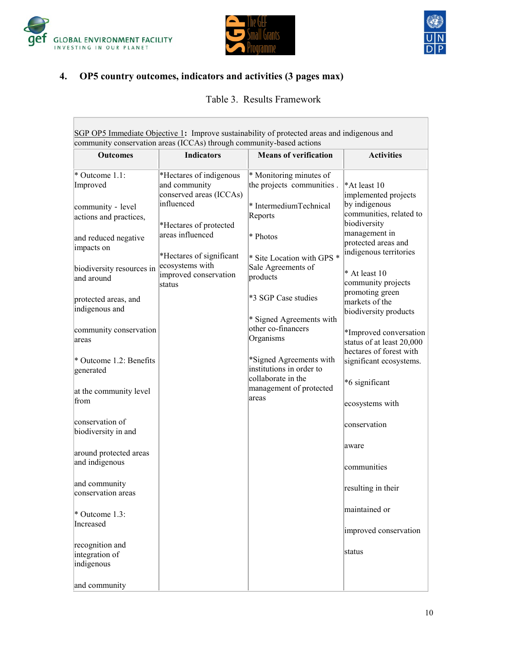

 $\overline{\mathcal{L}^{\mathcal{A}}(\mathcal{A})}$ 





# **4. OP5 country outcomes, indicators and activities (3 pages max)**

Table 3. Results Framework

| SGP OP5 Immediate Objective 1: Improve sustainability of protected areas and indigenous and |                                                                                   |                                                                                           |                                                                                  |  |  |
|---------------------------------------------------------------------------------------------|-----------------------------------------------------------------------------------|-------------------------------------------------------------------------------------------|----------------------------------------------------------------------------------|--|--|
| community conservation areas (ICCAs) through community-based actions                        |                                                                                   |                                                                                           |                                                                                  |  |  |
| <b>Outcomes</b>                                                                             | <b>Indicators</b>                                                                 | <b>Means of verification</b>                                                              | <b>Activities</b>                                                                |  |  |
| $*$ Outcome 1.1:<br>Improved<br>community - level                                           | *Hectares of indigenous<br>and community<br>conserved areas (ICCAs)<br>influenced | * Monitoring minutes of<br>the projects communities.<br>* IntermediumTechnical<br>Reports | *At least 10<br>implemented projects<br>by indigenous<br>communities, related to |  |  |
| actions and practices,<br>and reduced negative<br>impacts on                                | *Hectares of protected<br>areas influenced<br>*Hectares of significant            | * Photos<br>* Site Location with GPS *                                                    | biodiversity<br>management in<br>protected areas and<br>indigenous territories   |  |  |
| biodiversity resources in<br>and around                                                     | ecosystems with<br>improved conservation<br>status                                | Sale Agreements of<br>products                                                            | * At least 10<br>community projects<br>promoting green                           |  |  |
| protected areas, and<br>indigenous and                                                      |                                                                                   | *3 SGP Case studies<br>* Signed Agreements with                                           | markets of the<br>biodiversity products                                          |  |  |
| community conservation<br>areas                                                             |                                                                                   | other co-financers<br>Organisms                                                           | *Improved conversation<br>status of at least 20,000<br>hectares of forest with   |  |  |
| * Outcome 1.2: Benefits<br>generated                                                        |                                                                                   | *Signed Agreements with<br>institutions in order to<br>collaborate in the                 | significant ecosystems.<br>*6 significant                                        |  |  |
| at the community level<br>from                                                              |                                                                                   | management of protected<br>areas                                                          | ecosystems with                                                                  |  |  |
| conservation of<br>biodiversity in and                                                      |                                                                                   |                                                                                           | conservation                                                                     |  |  |
| around protected areas<br>and indigenous                                                    |                                                                                   |                                                                                           | aware<br>communities                                                             |  |  |
| and community<br>conservation areas                                                         |                                                                                   |                                                                                           | resulting in their                                                               |  |  |
| * Outcome 1.3:<br>Increased                                                                 |                                                                                   |                                                                                           | maintained or<br>improved conservation                                           |  |  |
| recognition and<br>integration of<br>indigenous                                             |                                                                                   |                                                                                           | status                                                                           |  |  |
| and community                                                                               |                                                                                   |                                                                                           |                                                                                  |  |  |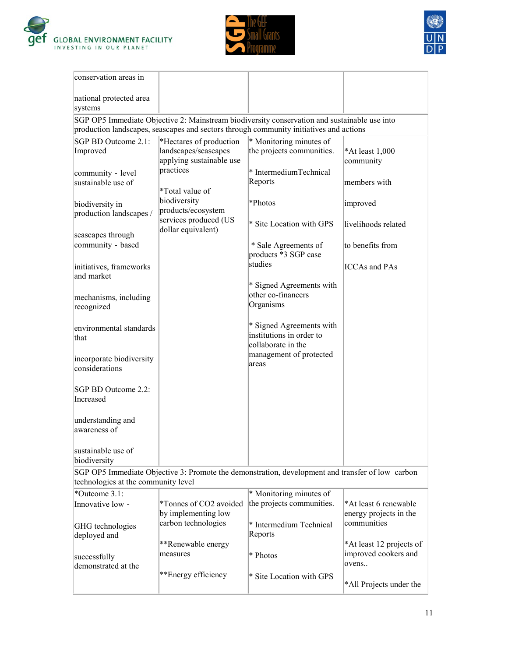

ÿ.





| conservation areas in                      |                                             |                                                                                                                                                                                        |                          |
|--------------------------------------------|---------------------------------------------|----------------------------------------------------------------------------------------------------------------------------------------------------------------------------------------|--------------------------|
| national protected area                    |                                             |                                                                                                                                                                                        |                          |
| systems                                    |                                             |                                                                                                                                                                                        |                          |
|                                            |                                             | SGP OP5 Immediate Objective 2: Mainstream biodiversity conservation and sustainable use into<br>production landscapes, seascapes and sectors through community initiatives and actions |                          |
| SGP BD Outcome 2.1:                        | *Hectares of production                     | * Monitoring minutes of                                                                                                                                                                |                          |
| Improved                                   | landscapes/seascapes                        | the projects communities.                                                                                                                                                              | *At least 1,000          |
|                                            | applying sustainable use                    |                                                                                                                                                                                        | community                |
| community - level                          | practices                                   | * IntermediumTechnical                                                                                                                                                                 |                          |
| sustainable use of                         | *Total value of                             | Reports                                                                                                                                                                                | members with             |
|                                            | biodiversity                                |                                                                                                                                                                                        |                          |
| biodiversity in<br>production landscapes / | products/ecosystem                          | *Photos                                                                                                                                                                                | improved                 |
|                                            | services produced (US<br>dollar equivalent) | * Site Location with GPS                                                                                                                                                               | livelihoods related      |
| seascapes through                          |                                             |                                                                                                                                                                                        |                          |
| community - based                          |                                             | * Sale Agreements of<br>products *3 SGP case                                                                                                                                           | to benefits from         |
| initiatives, frameworks<br>and market      |                                             | studies                                                                                                                                                                                | <b>ICCAs and PAs</b>     |
|                                            |                                             | * Signed Agreements with                                                                                                                                                               |                          |
| mechanisms, including                      |                                             | other co-financers                                                                                                                                                                     |                          |
| recognized                                 |                                             | Organisms                                                                                                                                                                              |                          |
|                                            |                                             |                                                                                                                                                                                        |                          |
| environmental standards                    |                                             | * Signed Agreements with<br>institutions in order to                                                                                                                                   |                          |
| that                                       |                                             | collaborate in the                                                                                                                                                                     |                          |
|                                            |                                             | management of protected                                                                                                                                                                |                          |
| incorporate biodiversity<br>considerations |                                             | areas                                                                                                                                                                                  |                          |
| SGP BD Outcome 2.2:                        |                                             |                                                                                                                                                                                        |                          |
| Increased                                  |                                             |                                                                                                                                                                                        |                          |
| understanding and                          |                                             |                                                                                                                                                                                        |                          |
| awareness of                               |                                             |                                                                                                                                                                                        |                          |
| sustainable use of                         |                                             |                                                                                                                                                                                        |                          |
| biodiversity                               |                                             |                                                                                                                                                                                        |                          |
|                                            |                                             | SGP OP5 Immediate Objective 3: Promote the demonstration, development and transfer of low carbon                                                                                       |                          |
| technologies at the community level        |                                             |                                                                                                                                                                                        |                          |
| *Outcome 3.1:                              |                                             | * Monitoring minutes of                                                                                                                                                                |                          |
| Innovative low -                           | *Tonnes of CO2 avoided                      | the projects communities.                                                                                                                                                              | *At least 6 renewable    |
|                                            | by implementing low                         |                                                                                                                                                                                        | energy projects in the   |
| GHG technologies                           | carbon technologies                         | * Intermedium Technical                                                                                                                                                                | communities              |
| deployed and                               | **Renewable energy                          | Reports                                                                                                                                                                                | *At least 12 projects of |
| successfully                               | measures                                    | * Photos                                                                                                                                                                               | improved cookers and     |
| demonstrated at the                        |                                             |                                                                                                                                                                                        | ovens                    |
|                                            | **Energy efficiency                         | * Site Location with GPS                                                                                                                                                               |                          |
|                                            |                                             |                                                                                                                                                                                        | *All Projects under the  |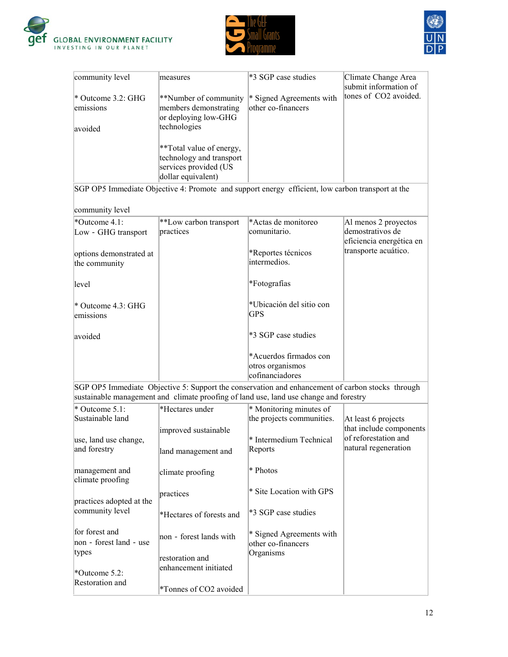





| community level                           | measures                                                                                            | *3 SGP case studies                                                                                                                                                                       | Climate Change Area<br>submit information of                            |
|-------------------------------------------|-----------------------------------------------------------------------------------------------------|-------------------------------------------------------------------------------------------------------------------------------------------------------------------------------------------|-------------------------------------------------------------------------|
| * Outcome 3.2: GHG<br>emissions           | **Number of community<br>members demonstrating<br>or deploying low-GHG                              | * Signed Agreements with<br>other co-financers                                                                                                                                            | tones of CO2 avoided.                                                   |
| avoided                                   | technologies                                                                                        |                                                                                                                                                                                           |                                                                         |
|                                           | **Total value of energy,<br>technology and transport<br>services provided (US<br>dollar equivalent) |                                                                                                                                                                                           |                                                                         |
|                                           |                                                                                                     | SGP OP5 Immediate Objective 4: Promote and support energy efficient, low carbon transport at the                                                                                          |                                                                         |
| community level                           |                                                                                                     |                                                                                                                                                                                           |                                                                         |
| *Outcome 4.1:<br>Low - GHG transport      | **Low carbon transport<br>practices                                                                 | *Actas de monitoreo<br>comunitario.                                                                                                                                                       | Al menos 2 proyectos<br>demostrativos de<br>eficiencia energética en    |
| options demonstrated at<br>the community  |                                                                                                     | *Reportes técnicos<br>intermedios.                                                                                                                                                        | transporte acuático.                                                    |
| level                                     |                                                                                                     | *Fotografías                                                                                                                                                                              |                                                                         |
| * Outcome 4.3: GHG<br>emissions           |                                                                                                     | *Ubicación del sitio con<br>GPS                                                                                                                                                           |                                                                         |
| avoided                                   |                                                                                                     | *3 SGP case studies                                                                                                                                                                       |                                                                         |
|                                           |                                                                                                     | *Acuerdos firmados con<br>otros organismos<br>cofinanciadores                                                                                                                             |                                                                         |
|                                           |                                                                                                     | SGP OP5 Immediate Objective 5: Support the conservation and enhancement of carbon stocks through<br>sustainable management and climate proofing of land use, land use change and forestry |                                                                         |
| * Outcome 5.1:<br>Sustainable land        | *Hectares under                                                                                     | * Monitoring minutes of<br>the projects communities.                                                                                                                                      | At least 6 projects                                                     |
| use, land use change,<br>and forestry     | improved sustainable                                                                                | * Intermedium Technical<br>Reports                                                                                                                                                        | that include components<br>of reforestation and<br>natural regeneration |
|                                           | land management and                                                                                 |                                                                                                                                                                                           |                                                                         |
| management and<br>climate proofing        | climate proofing                                                                                    | * Photos                                                                                                                                                                                  |                                                                         |
| practices adopted at the                  | practices                                                                                           | * Site Location with GPS                                                                                                                                                                  |                                                                         |
| community level                           | *Hectares of forests and                                                                            | *3 SGP case studies                                                                                                                                                                       |                                                                         |
| for forest and<br>non - forest land - use | non - forest lands with                                                                             | * Signed Agreements with<br>other co-financers                                                                                                                                            |                                                                         |
| types                                     | restoration and                                                                                     | Organisms                                                                                                                                                                                 |                                                                         |
| *Outcome 5.2:<br>Restoration and          | enhancement initiated                                                                               |                                                                                                                                                                                           |                                                                         |
|                                           | *Tonnes of CO2 avoided                                                                              |                                                                                                                                                                                           |                                                                         |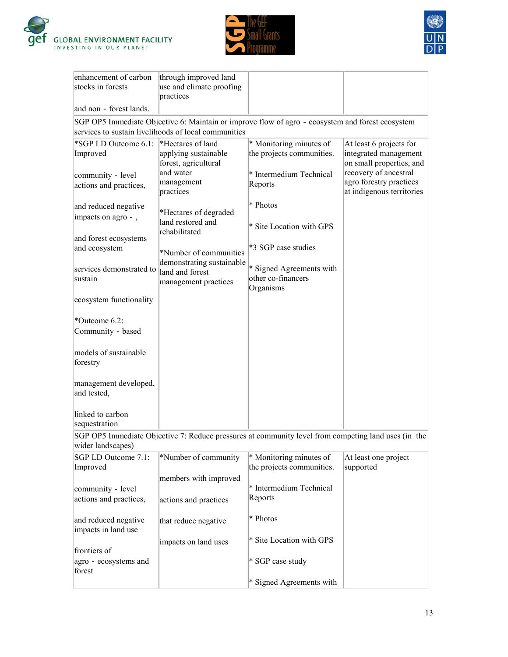





| practices<br>and non - forest lands.<br>SGP OP5 Immediate Objective 6: Maintain or improve flow of agro - ecosystem and forest ecosystem<br>services to sustain livelihoods of local communities<br>*SGP LD Outcome 6.1:<br>*Hectares of land<br>* Monitoring minutes of<br>At least 6 projects for<br>the projects communities.<br>integrated management<br>Improved<br>applying sustainable<br>on small properties, and<br>forest, agricultural<br>recovery of ancestral<br>and water<br>* Intermedium Technical<br>community - level<br>agro forestry practices<br>management<br>Reports<br>actions and practices,<br>at indigenous territories<br>practices<br>* Photos<br>and reduced negative<br>*Hectares of degraded<br>impacts on agro -,<br>land restored and<br>* Site Location with GPS<br>rehabilitated<br>and forest ecosystems<br>*3 SGP case studies<br>and ecosystem<br>*Number of communities<br>demonstrating sustainable<br>* Signed Agreements with<br>services demonstrated to<br>land and forest<br>other co-financers<br>sustain<br>management practices<br>Organisms<br>ecosystem functionality<br>*Outcome 6.2: |
|-------------------------------------------------------------------------------------------------------------------------------------------------------------------------------------------------------------------------------------------------------------------------------------------------------------------------------------------------------------------------------------------------------------------------------------------------------------------------------------------------------------------------------------------------------------------------------------------------------------------------------------------------------------------------------------------------------------------------------------------------------------------------------------------------------------------------------------------------------------------------------------------------------------------------------------------------------------------------------------------------------------------------------------------------------------------------------------------------------------------------------------------|
|                                                                                                                                                                                                                                                                                                                                                                                                                                                                                                                                                                                                                                                                                                                                                                                                                                                                                                                                                                                                                                                                                                                                           |
|                                                                                                                                                                                                                                                                                                                                                                                                                                                                                                                                                                                                                                                                                                                                                                                                                                                                                                                                                                                                                                                                                                                                           |
|                                                                                                                                                                                                                                                                                                                                                                                                                                                                                                                                                                                                                                                                                                                                                                                                                                                                                                                                                                                                                                                                                                                                           |
|                                                                                                                                                                                                                                                                                                                                                                                                                                                                                                                                                                                                                                                                                                                                                                                                                                                                                                                                                                                                                                                                                                                                           |
|                                                                                                                                                                                                                                                                                                                                                                                                                                                                                                                                                                                                                                                                                                                                                                                                                                                                                                                                                                                                                                                                                                                                           |
|                                                                                                                                                                                                                                                                                                                                                                                                                                                                                                                                                                                                                                                                                                                                                                                                                                                                                                                                                                                                                                                                                                                                           |
|                                                                                                                                                                                                                                                                                                                                                                                                                                                                                                                                                                                                                                                                                                                                                                                                                                                                                                                                                                                                                                                                                                                                           |
|                                                                                                                                                                                                                                                                                                                                                                                                                                                                                                                                                                                                                                                                                                                                                                                                                                                                                                                                                                                                                                                                                                                                           |
|                                                                                                                                                                                                                                                                                                                                                                                                                                                                                                                                                                                                                                                                                                                                                                                                                                                                                                                                                                                                                                                                                                                                           |
|                                                                                                                                                                                                                                                                                                                                                                                                                                                                                                                                                                                                                                                                                                                                                                                                                                                                                                                                                                                                                                                                                                                                           |
|                                                                                                                                                                                                                                                                                                                                                                                                                                                                                                                                                                                                                                                                                                                                                                                                                                                                                                                                                                                                                                                                                                                                           |
|                                                                                                                                                                                                                                                                                                                                                                                                                                                                                                                                                                                                                                                                                                                                                                                                                                                                                                                                                                                                                                                                                                                                           |
|                                                                                                                                                                                                                                                                                                                                                                                                                                                                                                                                                                                                                                                                                                                                                                                                                                                                                                                                                                                                                                                                                                                                           |
|                                                                                                                                                                                                                                                                                                                                                                                                                                                                                                                                                                                                                                                                                                                                                                                                                                                                                                                                                                                                                                                                                                                                           |
|                                                                                                                                                                                                                                                                                                                                                                                                                                                                                                                                                                                                                                                                                                                                                                                                                                                                                                                                                                                                                                                                                                                                           |
|                                                                                                                                                                                                                                                                                                                                                                                                                                                                                                                                                                                                                                                                                                                                                                                                                                                                                                                                                                                                                                                                                                                                           |
|                                                                                                                                                                                                                                                                                                                                                                                                                                                                                                                                                                                                                                                                                                                                                                                                                                                                                                                                                                                                                                                                                                                                           |
|                                                                                                                                                                                                                                                                                                                                                                                                                                                                                                                                                                                                                                                                                                                                                                                                                                                                                                                                                                                                                                                                                                                                           |
|                                                                                                                                                                                                                                                                                                                                                                                                                                                                                                                                                                                                                                                                                                                                                                                                                                                                                                                                                                                                                                                                                                                                           |
|                                                                                                                                                                                                                                                                                                                                                                                                                                                                                                                                                                                                                                                                                                                                                                                                                                                                                                                                                                                                                                                                                                                                           |
| Community - based                                                                                                                                                                                                                                                                                                                                                                                                                                                                                                                                                                                                                                                                                                                                                                                                                                                                                                                                                                                                                                                                                                                         |
|                                                                                                                                                                                                                                                                                                                                                                                                                                                                                                                                                                                                                                                                                                                                                                                                                                                                                                                                                                                                                                                                                                                                           |
| models of sustainable                                                                                                                                                                                                                                                                                                                                                                                                                                                                                                                                                                                                                                                                                                                                                                                                                                                                                                                                                                                                                                                                                                                     |
| forestry                                                                                                                                                                                                                                                                                                                                                                                                                                                                                                                                                                                                                                                                                                                                                                                                                                                                                                                                                                                                                                                                                                                                  |
| management developed,                                                                                                                                                                                                                                                                                                                                                                                                                                                                                                                                                                                                                                                                                                                                                                                                                                                                                                                                                                                                                                                                                                                     |
| and tested,                                                                                                                                                                                                                                                                                                                                                                                                                                                                                                                                                                                                                                                                                                                                                                                                                                                                                                                                                                                                                                                                                                                               |
|                                                                                                                                                                                                                                                                                                                                                                                                                                                                                                                                                                                                                                                                                                                                                                                                                                                                                                                                                                                                                                                                                                                                           |
| linked to carbon                                                                                                                                                                                                                                                                                                                                                                                                                                                                                                                                                                                                                                                                                                                                                                                                                                                                                                                                                                                                                                                                                                                          |
| sequestration                                                                                                                                                                                                                                                                                                                                                                                                                                                                                                                                                                                                                                                                                                                                                                                                                                                                                                                                                                                                                                                                                                                             |
| SGP OP5 Immediate Objective 7: Reduce pressures at community level from competing land uses (in the                                                                                                                                                                                                                                                                                                                                                                                                                                                                                                                                                                                                                                                                                                                                                                                                                                                                                                                                                                                                                                       |
| wider landscapes)                                                                                                                                                                                                                                                                                                                                                                                                                                                                                                                                                                                                                                                                                                                                                                                                                                                                                                                                                                                                                                                                                                                         |
| *Number of community<br>* Monitoring minutes of<br>SGP LD Outcome 7.1:<br>At least one project<br>Improved<br>the projects communities.<br>supported                                                                                                                                                                                                                                                                                                                                                                                                                                                                                                                                                                                                                                                                                                                                                                                                                                                                                                                                                                                      |
| members with improved                                                                                                                                                                                                                                                                                                                                                                                                                                                                                                                                                                                                                                                                                                                                                                                                                                                                                                                                                                                                                                                                                                                     |
| * Intermedium Technical<br>community - level                                                                                                                                                                                                                                                                                                                                                                                                                                                                                                                                                                                                                                                                                                                                                                                                                                                                                                                                                                                                                                                                                              |
| Reports<br>actions and practices,<br>actions and practices                                                                                                                                                                                                                                                                                                                                                                                                                                                                                                                                                                                                                                                                                                                                                                                                                                                                                                                                                                                                                                                                                |
|                                                                                                                                                                                                                                                                                                                                                                                                                                                                                                                                                                                                                                                                                                                                                                                                                                                                                                                                                                                                                                                                                                                                           |
| * Photos<br>and reduced negative<br>that reduce negative                                                                                                                                                                                                                                                                                                                                                                                                                                                                                                                                                                                                                                                                                                                                                                                                                                                                                                                                                                                                                                                                                  |
| impacts in land use                                                                                                                                                                                                                                                                                                                                                                                                                                                                                                                                                                                                                                                                                                                                                                                                                                                                                                                                                                                                                                                                                                                       |
| * Site Location with GPS<br>impacts on land uses                                                                                                                                                                                                                                                                                                                                                                                                                                                                                                                                                                                                                                                                                                                                                                                                                                                                                                                                                                                                                                                                                          |
| frontiers of                                                                                                                                                                                                                                                                                                                                                                                                                                                                                                                                                                                                                                                                                                                                                                                                                                                                                                                                                                                                                                                                                                                              |
| * SGP case study<br>agro - ecosystems and<br>forest                                                                                                                                                                                                                                                                                                                                                                                                                                                                                                                                                                                                                                                                                                                                                                                                                                                                                                                                                                                                                                                                                       |
| * Signed Agreements with                                                                                                                                                                                                                                                                                                                                                                                                                                                                                                                                                                                                                                                                                                                                                                                                                                                                                                                                                                                                                                                                                                                  |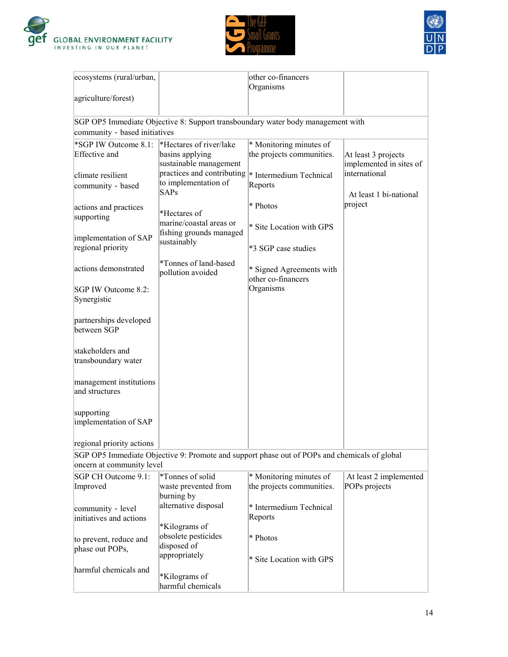





| ecosystems (rural/urban,                     |                                                                      | other co-financers<br>Organisms                                                              |                                                |
|----------------------------------------------|----------------------------------------------------------------------|----------------------------------------------------------------------------------------------|------------------------------------------------|
| agriculture/forest)                          |                                                                      |                                                                                              |                                                |
|                                              |                                                                      | SGP OP5 Immediate Objective 8: Support transboundary water body management with              |                                                |
| community - based initiatives                |                                                                      |                                                                                              |                                                |
| *SGP IW Outcome 8.1:<br><b>Effective</b> and | *Hectares of river/lake<br>basins applying<br>sustainable management | * Monitoring minutes of<br>the projects communities.                                         | At least 3 projects<br>implemented in sites of |
| climate resilient<br>community - based       | practices and contributing<br>to implementation of<br>SAPs           | <sup>*</sup> Intermedium Technical<br>Reports                                                | international<br>At least 1 bi-national        |
| actions and practices<br>supporting          | *Hectares of<br>marine/coastal areas or                              | * Photos                                                                                     | project                                        |
| implementation of SAP<br>regional priority   | fishing grounds managed<br>sustainably                               | * Site Location with GPS<br>*3 SGP case studies                                              |                                                |
| actions demonstrated                         | *Tonnes of land-based<br>pollution avoided                           | * Signed Agreements with<br>other co-financers                                               |                                                |
| SGP IW Outcome 8.2:<br>Synergistic           |                                                                      | Organisms                                                                                    |                                                |
| partnerships developed<br>between SGP        |                                                                      |                                                                                              |                                                |
| stakeholders and<br>transboundary water      |                                                                      |                                                                                              |                                                |
| management institutions<br>and structures    |                                                                      |                                                                                              |                                                |
| supporting<br>implementation of SAP          |                                                                      |                                                                                              |                                                |
| regional priority actions                    |                                                                      |                                                                                              |                                                |
|                                              |                                                                      | SGP OP5 Immediate Objective 9: Promote and support phase out of POPs and chemicals of global |                                                |
| oncern at community level                    |                                                                      |                                                                                              |                                                |
| SGP CH Outcome 9.1:<br>Improved              | *Tonnes of solid<br>waste prevented from<br>burning by               | * Monitoring minutes of<br>the projects communities.                                         | At least 2 implemented<br>POPs projects        |
| community - level<br>initiatives and actions | alternative disposal<br>*Kilograms of                                | * Intermedium Technical<br>Reports                                                           |                                                |
| to prevent, reduce and<br>phase out POPs,    | obsolete pesticides<br>disposed of<br>appropriately                  | * Photos<br>* Site Location with GPS                                                         |                                                |
| harmful chemicals and                        | *Kilograms of<br>harmful chemicals                                   |                                                                                              |                                                |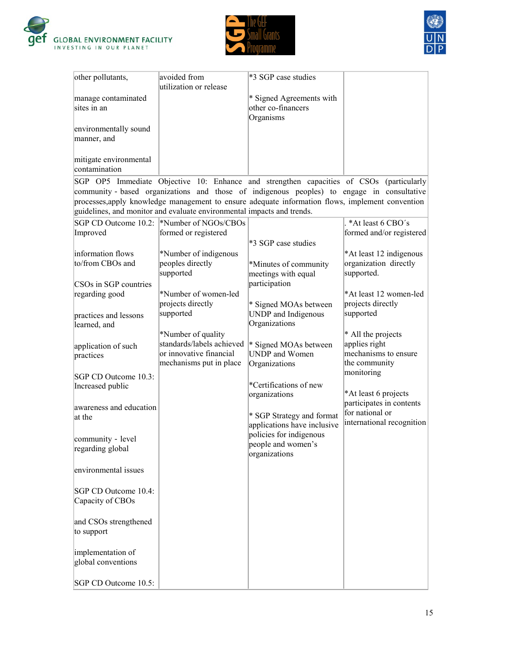





| other pollutants,                        | avoided from<br>utilization or release                                                                | *3 SGP case studies                                                                                                                                                                            |                                                                              |
|------------------------------------------|-------------------------------------------------------------------------------------------------------|------------------------------------------------------------------------------------------------------------------------------------------------------------------------------------------------|------------------------------------------------------------------------------|
| manage contaminated<br>sites in an       |                                                                                                       | * Signed Agreements with<br>other co-financers<br>Organisms                                                                                                                                    |                                                                              |
| environmentally sound<br>manner, and     |                                                                                                       |                                                                                                                                                                                                |                                                                              |
| mitigate environmental<br>contamination  |                                                                                                       |                                                                                                                                                                                                |                                                                              |
|                                          |                                                                                                       | SGP OP5 Immediate Objective 10: Enhance and strengthen capacities of CSOs (particularly                                                                                                        |                                                                              |
|                                          | guidelines, and monitor and evaluate environmental impacts and trends.                                | community - based organizations and those of indigenous peoples) to engage in consultative<br>processes, apply knowledge management to ensure adequate information flows, implement convention |                                                                              |
|                                          | SGP CD Outcome 10.2: <sup>*</sup> Number of NGOs/CBOs                                                 |                                                                                                                                                                                                | *At least 6 CBO's                                                            |
| Improved                                 | formed or registered                                                                                  | *3 SGP case studies                                                                                                                                                                            | formed and/or registered                                                     |
| information flows<br>to/from CBOs and    | *Number of indigenous<br>peoples directly<br>supported                                                | *Minutes of community<br>meetings with equal                                                                                                                                                   | *At least 12 indigenous<br>organization directly<br>supported.               |
| CSOs in SGP countries                    |                                                                                                       | participation                                                                                                                                                                                  |                                                                              |
| regarding good                           | *Number of women-led<br>projects directly                                                             | * Signed MOAs between                                                                                                                                                                          | *At least 12 women-led<br>projects directly                                  |
| practices and lessons<br>learned, and    | supported                                                                                             | UNDP and Indigenous<br>Organizations                                                                                                                                                           | supported                                                                    |
| application of such<br>practices         | *Number of quality<br>standards/labels achieved<br>or innovative financial<br>mechanisms put in place | * Signed MOAs between<br><b>UNDP</b> and Women<br>Organizations                                                                                                                                | * All the projects<br>applies right<br>mechanisms to ensure<br>the community |
| SGP CD Outcome 10.3:                     |                                                                                                       |                                                                                                                                                                                                | monitoring                                                                   |
| Increased public                         |                                                                                                       | *Certifications of new<br>organizations                                                                                                                                                        | *At least 6 projects<br>participates in contents                             |
| awareness and education<br>at the        |                                                                                                       | * SGP Strategy and format                                                                                                                                                                      | for national or                                                              |
|                                          |                                                                                                       | applications have inclusive                                                                                                                                                                    | international recognition                                                    |
| community - level<br>regarding global    |                                                                                                       | policies for indigenous<br>people and women's<br>organizations                                                                                                                                 |                                                                              |
| environmental issues                     |                                                                                                       |                                                                                                                                                                                                |                                                                              |
| SGP CD Outcome 10.4:<br>Capacity of CBOs |                                                                                                       |                                                                                                                                                                                                |                                                                              |
| and CSOs strengthened<br>to support      |                                                                                                       |                                                                                                                                                                                                |                                                                              |
| implementation of<br>global conventions  |                                                                                                       |                                                                                                                                                                                                |                                                                              |
| SGP CD Outcome 10.5:                     |                                                                                                       |                                                                                                                                                                                                |                                                                              |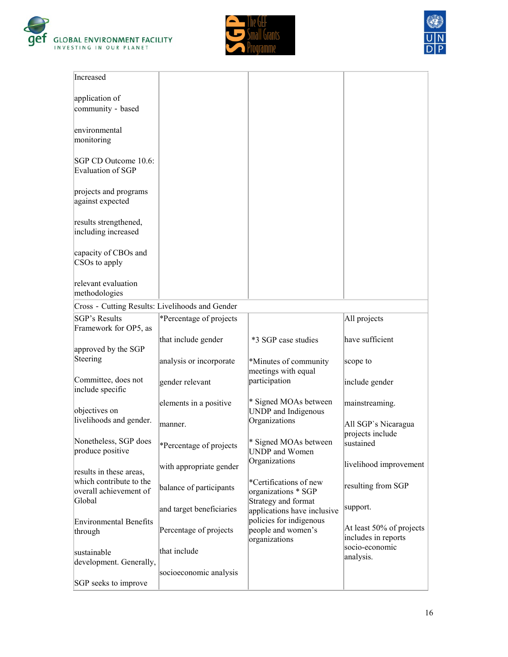





| Increased                                         |                          |                                                                               |                                                 |
|---------------------------------------------------|--------------------------|-------------------------------------------------------------------------------|-------------------------------------------------|
| application of<br>community - based               |                          |                                                                               |                                                 |
| environmental<br>monitoring                       |                          |                                                                               |                                                 |
| SGP CD Outcome 10.6:<br>Evaluation of SGP         |                          |                                                                               |                                                 |
| projects and programs<br>against expected         |                          |                                                                               |                                                 |
| results strengthened,<br>including increased      |                          |                                                                               |                                                 |
| capacity of CBOs and<br>CSOs to apply             |                          |                                                                               |                                                 |
| relevant evaluation<br>methodologies              |                          |                                                                               |                                                 |
| Cross - Cutting Results: Livelihoods and Gender   |                          |                                                                               |                                                 |
| <b>SGP's Results</b><br>Framework for OP5, as     | *Percentage of projects  |                                                                               | All projects                                    |
| approved by the SGP                               | that include gender      | *3 SGP case studies                                                           | have sufficient                                 |
| Steering                                          | analysis or incorporate  | *Minutes of community<br>meetings with equal                                  | scope to                                        |
| Committee, does not<br>include specific           | gender relevant          | participation                                                                 | include gender                                  |
| objectives on                                     | elements in a positive   | * Signed MOAs between<br>UNDP and Indigenous                                  | mainstreaming.                                  |
| livelihoods and gender.                           | manner.                  | Organizations                                                                 | All SGP's Nicaragua<br>projects include         |
| Nonetheless, SGP does<br>produce positive         | *Percentage of projects  | * Signed MOAs between<br>UNDP and Women                                       | sustained                                       |
| results in these areas,                           | with appropriate gender  | Organizations                                                                 | livelihood improvement                          |
| which contribute to the<br>overall achievement of | balance of participants  | *Certifications of new<br>organizations * SGP                                 | resulting from SGP                              |
| Global                                            | and target beneficiaries | Strategy and format<br>applications have inclusive<br>policies for indigenous | support.                                        |
| <b>Environmental Benefits</b><br>through          | Percentage of projects   | people and women's<br>organizations                                           | At least 50% of projects<br>includes in reports |
| sustainable<br>development. Generally,            | that include             |                                                                               | socio-economic<br>analysis.                     |
| SGP seeks to improve                              | socioeconomic analysis   |                                                                               |                                                 |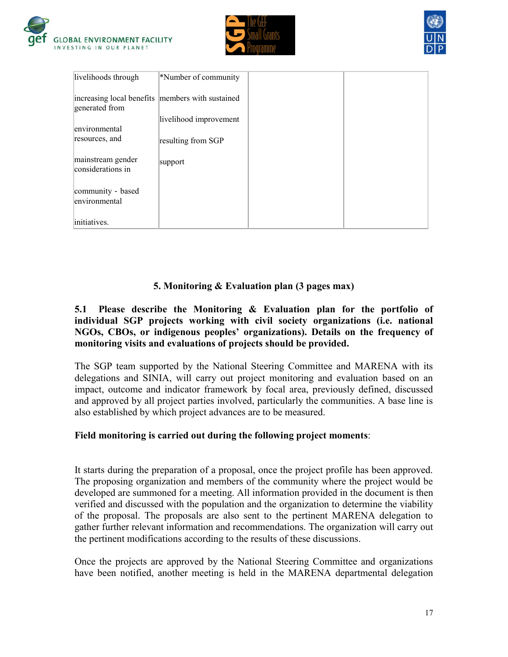





| livelihoods through                                                  | *Number of community   |  |
|----------------------------------------------------------------------|------------------------|--|
| increasing local benefits   members with sustained<br>generated from |                        |  |
| environmental                                                        | livelihood improvement |  |
| resources, and                                                       | resulting from SGP     |  |
| mainstream gender<br>considerations in                               | support                |  |
| community - based<br>environmental                                   |                        |  |
| initiatives.                                                         |                        |  |

### **5. Monitoring & Evaluation plan (3 pages max)**

#### **5.1 Please describe the Monitoring & Evaluation plan for the portfolio of individual SGP projects working with civil society organizations (i.e. national NGOs, CBOs, or indigenous peoples' organizations). Details on the frequency of monitoring visits and evaluations of projects should be provided.**

The SGP team supported by the National Steering Committee and MARENA with its delegations and SINIA, will carry out project monitoring and evaluation based on an impact, outcome and indicator framework by focal area, previously defined, discussed and approved by all project parties involved, particularly the communities. A base line is also established by which project advances are to be measured.

### **Field monitoring is carried out during the following project moments**:

It starts during the preparation of a proposal, once the project profile has been approved. The proposing organization and members of the community where the project would be developed are summoned for a meeting. All information provided in the document is then verified and discussed with the population and the organization to determine the viability of the proposal. The proposals are also sent to the pertinent MARENA delegation to gather further relevant information and recommendations. The organization will carry out the pertinent modifications according to the results of these discussions.

Once the projects are approved by the National Steering Committee and organizations have been notified, another meeting is held in the MARENA departmental delegation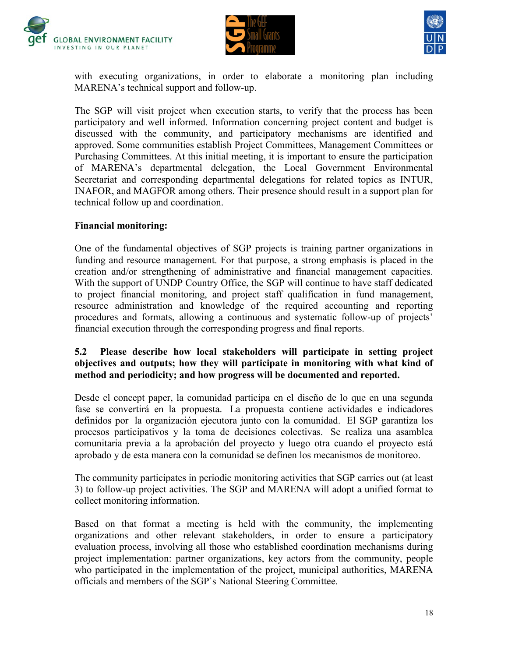





with executing organizations, in order to elaborate a monitoring plan including MARENA"s technical support and follow-up.

The SGP will visit project when execution starts, to verify that the process has been participatory and well informed. Information concerning project content and budget is discussed with the community, and participatory mechanisms are identified and approved. Some communities establish Project Committees, Management Committees or Purchasing Committees. At this initial meeting, it is important to ensure the participation of MARENA"s departmental delegation, the Local Government Environmental Secretariat and corresponding departmental delegations for related topics as INTUR, INAFOR, and MAGFOR among others. Their presence should result in a support plan for technical follow up and coordination.

### **Financial monitoring:**

One of the fundamental objectives of SGP projects is training partner organizations in funding and resource management. For that purpose, a strong emphasis is placed in the creation and/or strengthening of administrative and financial management capacities. With the support of UNDP Country Office, the SGP will continue to have staff dedicated to project financial monitoring, and project staff qualification in fund management, resource administration and knowledge of the required accounting and reporting procedures and formats, allowing a continuous and systematic follow-up of projects' financial execution through the corresponding progress and final reports.

#### **5.2 Please describe how local stakeholders will participate in setting project objectives and outputs; how they will participate in monitoring with what kind of method and periodicity; and how progress will be documented and reported.**

Desde el concept paper, la comunidad participa en el diseño de lo que en una segunda fase se convertirá en la propuesta. La propuesta contiene actividades e indicadores definidos por la organización ejecutora junto con la comunidad. El SGP garantiza los procesos participativos y la toma de decisiones colectivas. Se realiza una asamblea comunitaria previa a la aprobación del proyecto y luego otra cuando el proyecto está aprobado y de esta manera con la comunidad se definen los mecanismos de monitoreo.

The community participates in periodic monitoring activities that SGP carries out (at least 3) to follow-up project activities. The SGP and MARENA will adopt a unified format to collect monitoring information.

Based on that format a meeting is held with the community, the implementing organizations and other relevant stakeholders, in order to ensure a participatory evaluation process, involving all those who established coordination mechanisms during project implementation: partner organizations, key actors from the community, people who participated in the implementation of the project, municipal authorities, MARENA officials and members of the SGP`s National Steering Committee.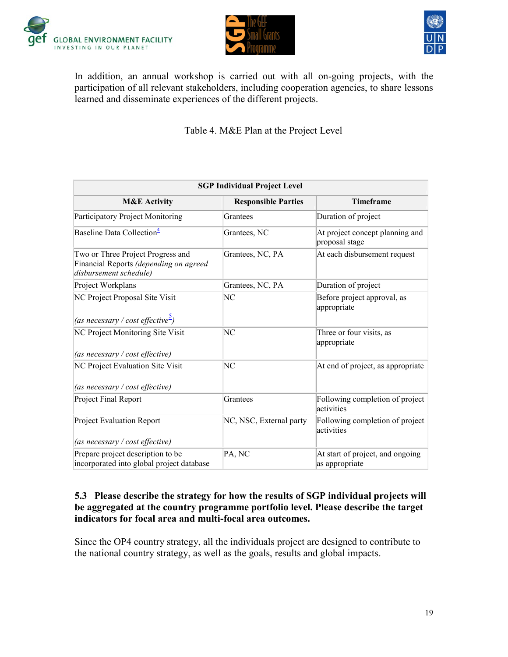





In addition, an annual workshop is carried out with all on-going projects, with the participation of all relevant stakeholders, including cooperation agencies, to share lessons learned and disseminate experiences of the different projects.

Table 4. M&E Plan at the Project Level

| <b>SGP Individual Project Level</b>                                                                   |                            |                                                    |  |  |
|-------------------------------------------------------------------------------------------------------|----------------------------|----------------------------------------------------|--|--|
| <b>M&amp;E Activity</b>                                                                               | <b>Responsible Parties</b> | <b>Timeframe</b>                                   |  |  |
| Participatory Project Monitoring                                                                      | Grantees                   | Duration of project                                |  |  |
| Baseline Data Collection <sup>4</sup>                                                                 | Grantees, NC               | At project concept planning and<br>proposal stage  |  |  |
| Two or Three Project Progress and<br>Financial Reports (depending on agreed<br>disbursement schedule) | Grantees, NC, PA           | At each disbursement request                       |  |  |
| Project Workplans                                                                                     | Grantees, NC, PA           | Duration of project                                |  |  |
| NC Project Proposal Site Visit<br>(as necessary / cost effective <sup>2</sup> )                       | NC                         | Before project approval, as<br>appropriate         |  |  |
| NC Project Monitoring Site Visit<br>(as necessary / cost effective)                                   | NC                         | Three or four visits, as<br>appropriate            |  |  |
| NC Project Evaluation Site Visit<br>(as necessary / cost effective)                                   | NC                         | At end of project, as appropriate                  |  |  |
| Project Final Report                                                                                  | Grantees                   | Following completion of project<br>activities      |  |  |
| <b>Project Evaluation Report</b>                                                                      | NC, NSC, External party    | Following completion of project<br>activities      |  |  |
| (as necessary / cost effective)                                                                       |                            |                                                    |  |  |
| Prepare project description to be<br>incorporated into global project database                        | PA, NC                     | At start of project, and ongoing<br>as appropriate |  |  |

#### **5.3 Please describe the strategy for how the results of SGP individual projects will be aggregated at the country programme portfolio level. Please describe the target indicators for focal area and multi-focal area outcomes.**

Since the OP4 country strategy, all the individuals project are designed to contribute to the national country strategy, as well as the goals, results and global impacts.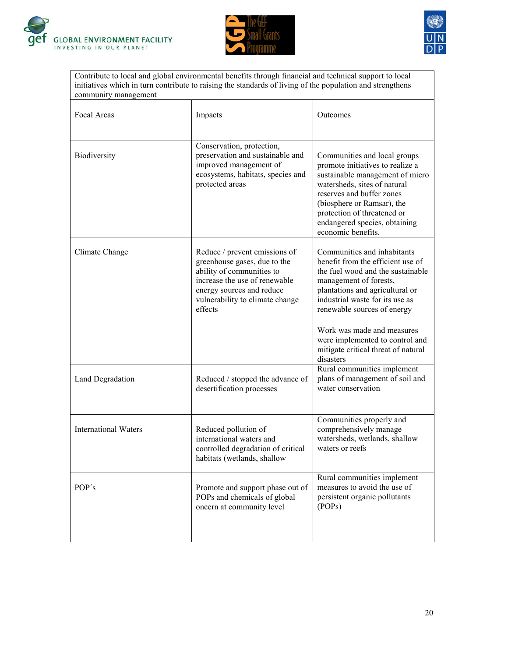





Contribute to local and global environmental benefits through financial and technical support to local initiatives which in turn contribute to raising the standards of living of the population and strengthens community management

| Focal Areas                 | Impacts                                                                                                                                                                                                | Outcomes                                                                                                                                                                                                                                                                                              |
|-----------------------------|--------------------------------------------------------------------------------------------------------------------------------------------------------------------------------------------------------|-------------------------------------------------------------------------------------------------------------------------------------------------------------------------------------------------------------------------------------------------------------------------------------------------------|
| Biodiversity                | Conservation, protection,<br>preservation and sustainable and<br>improved management of<br>ecosystems, habitats, species and<br>protected areas                                                        | Communities and local groups<br>promote initiatives to realize a<br>sustainable management of micro<br>watersheds, sites of natural<br>reserves and buffer zones<br>(biosphere or Ramsar), the<br>protection of threatened or<br>endangered species, obtaining<br>economic benefits.                  |
| Climate Change              | Reduce / prevent emissions of<br>greenhouse gases, due to the<br>ability of communities to<br>increase the use of renewable<br>energy sources and reduce<br>vulnerability to climate change<br>effects | Communities and inhabitants<br>benefit from the efficient use of<br>the fuel wood and the sustainable<br>management of forests,<br>plantations and agricultural or<br>industrial waste for its use as<br>renewable sources of energy<br>Work was made and measures<br>were implemented to control and |
|                             |                                                                                                                                                                                                        | mitigate critical threat of natural<br>disasters                                                                                                                                                                                                                                                      |
| Land Degradation            | Reduced / stopped the advance of<br>desertification processes                                                                                                                                          | Rural communities implement<br>plans of management of soil and<br>water conservation                                                                                                                                                                                                                  |
| <b>International Waters</b> | Reduced pollution of<br>international waters and<br>controlled degradation of critical<br>habitats (wetlands, shallow                                                                                  | Communities properly and<br>comprehensively manage<br>watersheds, wetlands, shallow<br>waters or reefs                                                                                                                                                                                                |
| POP's                       | Promote and support phase out of<br>POPs and chemicals of global<br>oncern at community level                                                                                                          | Rural communities implement<br>measures to avoid the use of<br>persistent organic pollutants<br>(POPs)                                                                                                                                                                                                |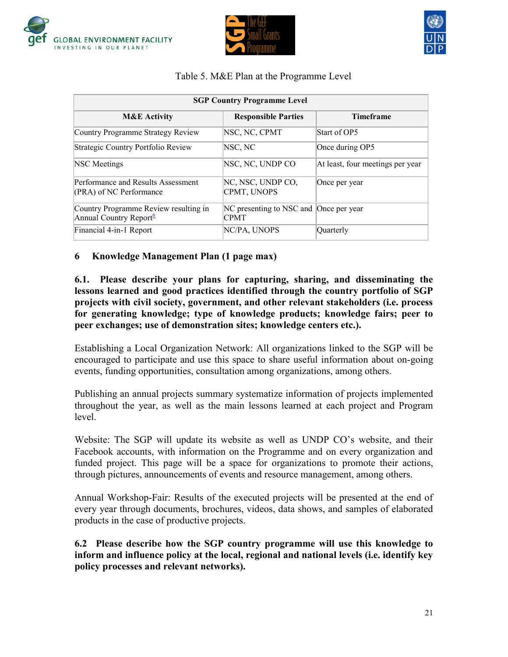





#### Table 5. M&E Plan at the Programme Level

| <b>SGP Country Programme Level</b>                                          |                                                       |                                  |  |  |
|-----------------------------------------------------------------------------|-------------------------------------------------------|----------------------------------|--|--|
| <b>M&amp;E Activity</b>                                                     | <b>Responsible Parties</b>                            | <b>Timeframe</b>                 |  |  |
| Country Programme Strategy Review                                           | NSC, NC, CPMT                                         | Start of OP5                     |  |  |
| Strategic Country Portfolio Review                                          | NSC, NC                                               | Once during OP5                  |  |  |
| <b>NSC</b> Meetings                                                         | NSC, NC, UNDP CO                                      | At least, four meetings per year |  |  |
| Performance and Results Assessment<br>(PRA) of NC Performance               | NC, NSC, UNDP CO,<br>CPMT, UNOPS                      | Once per year                    |  |  |
| Country Programme Review resulting in<br>Annual Country Report <sup>6</sup> | NC presenting to NSC and Once per year<br><b>CPMT</b> |                                  |  |  |
| Financial 4-in-1 Report                                                     | NC/PA, UNOPS                                          | Ouarterly                        |  |  |

#### **6 Knowledge Management Plan (1 page max)**

#### **6.1. Please describe your plans for capturing, sharing, and disseminating the lessons learned and good practices identified through the country portfolio of SGP projects with civil society, government, and other relevant stakeholders (i.e. process for generating knowledge; type of knowledge products; knowledge fairs; peer to peer exchanges; use of demonstration sites; knowledge centers etc.).**

Establishing a Local Organization Network: All organizations linked to the SGP will be encouraged to participate and use this space to share useful information about on-going events, funding opportunities, consultation among organizations, among others.

Publishing an annual projects summary systematize information of projects implemented throughout the year, as well as the main lessons learned at each project and Program level.

Website: The SGP will update its website as well as UNDP CO"s website, and their Facebook accounts, with information on the Programme and on every organization and funded project. This page will be a space for organizations to promote their actions, through pictures, announcements of events and resource management, among others.

Annual Workshop-Fair: Results of the executed projects will be presented at the end of every year through documents, brochures, videos, data shows, and samples of elaborated products in the case of productive projects.

**6.2 Please describe how the SGP country programme will use this knowledge to inform and influence policy at the local, regional and national levels (i.e. identify key policy processes and relevant networks).**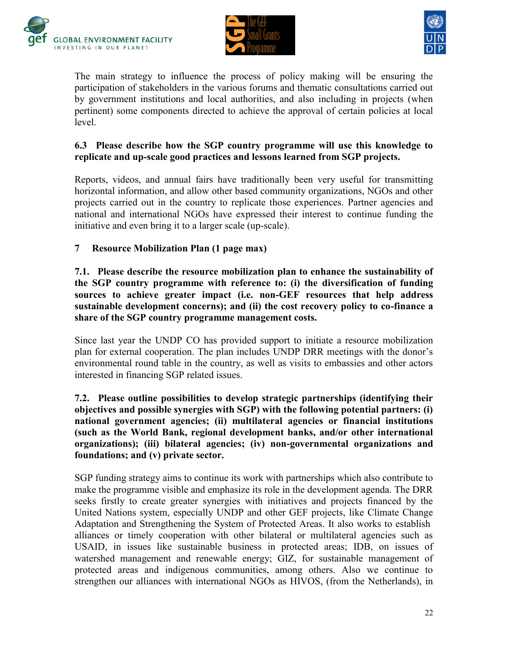





The main strategy to influence the process of policy making will be ensuring the participation of stakeholders in the various forums and thematic consultations carried out by government institutions and local authorities, and also including in projects (when pertinent) some components directed to achieve the approval of certain policies at local level.

### **6.3 Please describe how the SGP country programme will use this knowledge to replicate and up-scale good practices and lessons learned from SGP projects.**

Reports, videos, and annual fairs have traditionally been very useful for transmitting horizontal information, and allow other based community organizations, NGOs and other projects carried out in the country to replicate those experiences. Partner agencies and national and international NGOs have expressed their interest to continue funding the initiative and even bring it to a larger scale (up-scale).

# **7 Resource Mobilization Plan (1 page max)**

**7.1. Please describe the resource mobilization plan to enhance the sustainability of the SGP country programme with reference to: (i) the diversification of funding sources to achieve greater impact (i.e. non-GEF resources that help address sustainable development concerns); and (ii) the cost recovery policy to co-finance a share of the SGP country programme management costs.**

Since last year the UNDP CO has provided support to initiate a resource mobilization plan for external cooperation. The plan includes UNDP DRR meetings with the donor"s environmental round table in the country, as well as visits to embassies and other actors interested in financing SGP related issues.

### **7.2. Please outline possibilities to develop strategic partnerships (identifying their objectives and possible synergies with SGP) with the following potential partners: (i) national government agencies; (ii) multilateral agencies or financial institutions (such as the World Bank, regional development banks, and/or other international organizations); (iii) bilateral agencies; (iv) non-governmental organizations and foundations; and (v) private sector.**

SGP funding strategy aims to continue its work with partnerships which also contribute to make the programme visible and emphasize its role in the development agenda. The DRR seeks firstly to create greater synergies with initiatives and projects financed by the United Nations system, especially UNDP and other GEF projects, like Climate Change Adaptation and Strengthening the System of Protected Areas. It also works to establish alliances or timely cooperation with other bilateral or multilateral agencies such as USAID, in issues like sustainable business in protected areas; IDB, on issues of watershed management and renewable energy; GIZ, for sustainable management of protected areas and indigenous communities, among others. Also we continue to strengthen our alliances with international NGOs as HIVOS, (from the Netherlands), in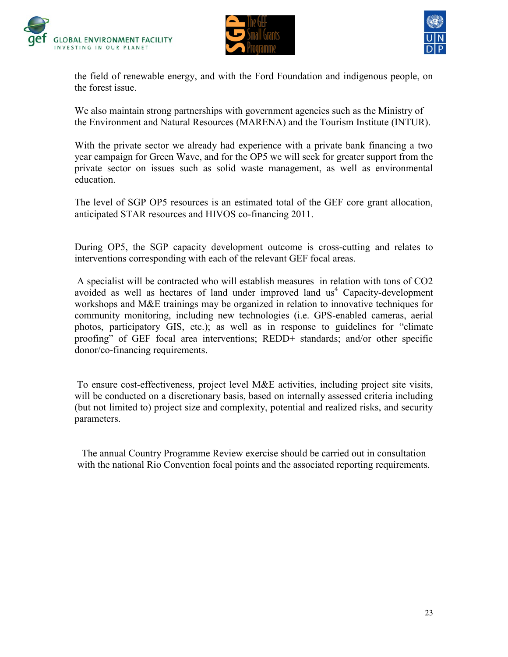





the field of renewable energy, and with the Ford Foundation and indigenous people, on the forest issue.

We also maintain strong partnerships with government agencies such as the Ministry of the Environment and Natural Resources (MARENA) and the Tourism Institute (INTUR).

With the private sector we already had experience with a private bank financing a two year campaign for Green Wave, and for the OP5 we will seek for greater support from the private sector on issues such as solid waste management, as well as environmental education.

The level of SGP OP5 resources is an estimated total of the GEF core grant allocation, anticipated STAR resources and HIVOS co-financing 2011.

During OP5, the SGP capacity development outcome is cross-cutting and relates to interventions corresponding with each of the relevant GEF focal areas.

A specialist will be contracted who will establish measures in relation with tons of CO2 avoided as well as hectares of land under improved land  $us<sup>4</sup>$  Capacity-development workshops and M&E trainings may be organized in relation to innovative techniques for community monitoring, including new technologies (i.e. GPS-enabled cameras, aerial photos, participatory GIS, etc.); as well as in response to guidelines for "climate proofing" of GEF focal area interventions; REDD+ standards; and/or other specific donor/co-financing requirements.

To ensure cost-effectiveness, project level M&E activities, including project site visits, will be conducted on a discretionary basis, based on internally assessed criteria including (but not limited to) project size and complexity, potential and realized risks, and security parameters.

The annual Country Programme Review exercise should be carried out in consultation with the national Rio Convention focal points and the associated reporting requirements.